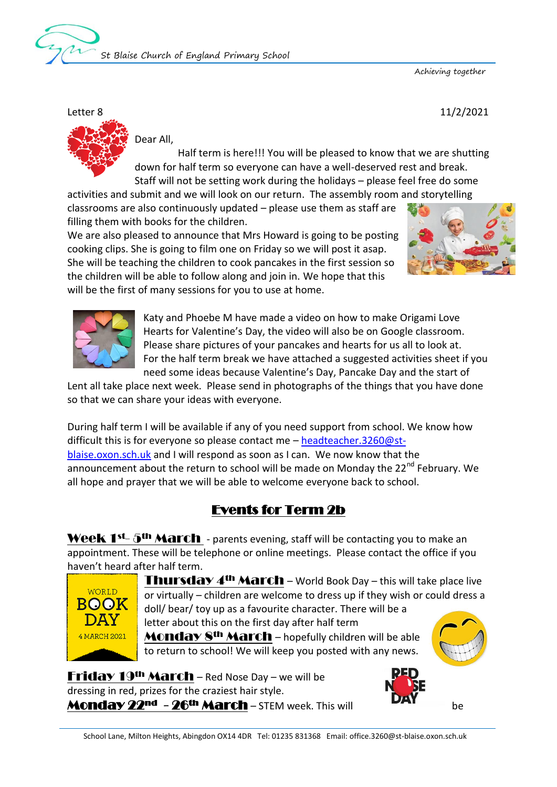

Achieving together

Letter 8 11/2/2021

Dear All,

 Half term is here!!! You will be pleased to know that we are shutting down for half term so everyone can have a well-deserved rest and break. Staff will not be setting work during the holidays – please feel free do some

activities and submit and we will look on our return. The assembly room and storytelling classrooms are also continuously updated – please use them as staff are filling them with books for the children.

We are also pleased to announce that Mrs Howard is going to be posting cooking clips. She is going to film one on Friday so we will post it asap. She will be teaching the children to cook pancakes in the first session so the children will be able to follow along and join in. We hope that this will be the first of many sessions for you to use at home.





Katy and Phoebe M have made a video on how to make Origami Love Hearts for Valentine's Day, the video will also be on Google classroom. Please share pictures of your pancakes and hearts for us all to look at. For the half term break we have attached a suggested activities sheet if you need some ideas because Valentine's Day, Pancake Day and the start of

Lent all take place next week. Please send in photographs of the things that you have done so that we can share your ideas with everyone.

During half term I will be available if any of you need support from school. We know how difficult this is for everyone so please contact me – [headteacher.3260@st](mailto:headteacher.3260@st-blaise.oxon.sch.uk)[blaise.oxon.sch.uk](mailto:headteacher.3260@st-blaise.oxon.sch.uk) and I will respond as soon as I can. We now know that the announcement about the return to school will be made on Monday the 22<sup>nd</sup> February. We all hope and prayer that we will be able to welcome everyone back to school.

## Events for Term 2b

Week  $1^{st}$ -  $5^{th}$  March - parents evening, staff will be contacting you to make an appointment. These will be telephone or online meetings. Please contact the office if you haven't heard after half term.



**Thursday 4<sup>th</sup> March** – World Book Day – this will take place live or virtually – children are welcome to dress up if they wish or could dress a doll/ bear/ toy up as a favourite character. There will be a letter about this on the first day after half term **Monday 8<sup>th</sup> March** – hopefully children will be able

to return to school! We will keep you posted with any news.

**Friday 19th March – Red Nose Day – we will be** dressing in red, prizes for the craziest hair style. **Monday 22nd - 26th March - STEM week. This will BAT** be

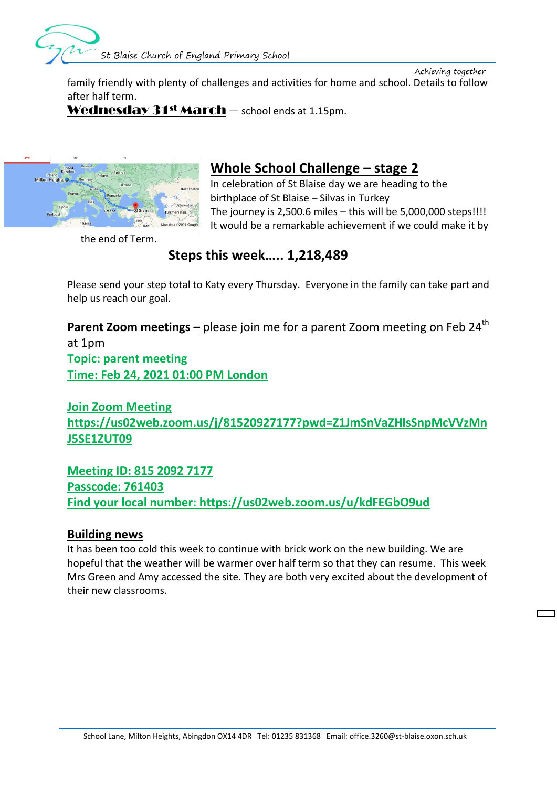

 Achieving together family friendly with plenty of challenges and activities for home and school. Details to follow after half term.

**Wednesday 31st March** – school ends at 1.15pm.



# **Whole School Challenge – stage 2**

In celebration of St Blaise day we are heading to the birthplace of St Blaise – Silvas in Turkey The journey is  $2,500.6$  miles  $-$  this will be  $5,000,000$  steps!!!! It would be a remarkable achievement if we could make it by

the end of Term.

## **Steps this week….. 1,218,489**

Please send your step total to Katy every Thursday. Everyone in the family can take part and help us reach our goal.

**Parent Zoom meetings –** please join me for a parent Zoom meeting on Feb 24<sup>th</sup> at 1pm **Topic: parent meeting Time: Feb 24, 2021 01:00 PM London**

**Join Zoom Meeting https://us02web.zoom.us/j/81520927177?pwd=Z1JmSnVaZHlsSnpMcVVzMn J5SE1ZUT09**

**Meeting ID: 815 2092 7177 Passcode: 761403 Find your local number: https://us02web.zoom.us/u/kdFEGbO9ud**

### **Building news**

It has been too cold this week to continue with brick work on the new building. We are hopeful that the weather will be warmer over half term so that they can resume. This week Mrs Green and Amy accessed the site. They are both very excited about the development of their new classrooms.